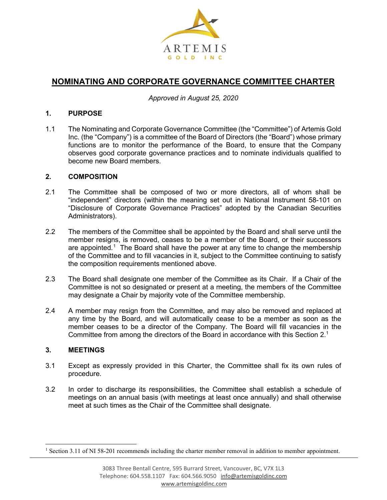

# **NOMINATING AND CORPORATE GOVERNANCE COMMITTEE CHARTER**

*Approved in August 25, 2020*

#### **1. PURPOSE**

1.1 The Nominating and Corporate Governance Committee (the "Committee") of Artemis Gold Inc. (the "Company") is a committee of the Board of Directors (the "Board") whose primary functions are to monitor the performance of the Board, to ensure that the Company observes good corporate governance practices and to nominate individuals qualified to become new Board members.

#### **2. COMPOSITION**

- 2.1 The Committee shall be composed of two or more directors, all of whom shall be "independent" directors (within the meaning set out in National Instrument 58-101 on "Disclosure of Corporate Governance Practices" adopted by the Canadian Securities Administrators).
- 2.2 The members of the Committee shall be appointed by the Board and shall serve until the member resigns, is removed, ceases to be a member of the Board, or their successors are appointed.<sup>[1](#page-0-0)</sup> The Board shall have the power at any time to change the membership of the Committee and to fill vacancies in it, subject to the Committee continuing to satisfy the composition requirements mentioned above.
- 2.3 The Board shall designate one member of the Committee as its Chair. If a Chair of the Committee is not so designated or present at a meeting, the members of the Committee may designate a Chair by majority vote of the Committee membership.
- 2.4 A member may resign from the Committee, and may also be removed and replaced at any time by the Board, and will automatically cease to be a member as soon as the member ceases to be a director of the Company. The Board will fill vacancies in the Committee from among the directors of the Board in accordance with this Section 2. 1

## **3. MEETINGS**

- 3.1 Except as expressly provided in this Charter, the Committee shall fix its own rules of procedure.
- 3.2 In order to discharge its responsibilities, the Committee shall establish a schedule of meetings on an annual basis (with meetings at least once annually) and shall otherwise meet at such times as the Chair of the Committee shall designate.

<span id="page-0-0"></span><sup>&</sup>lt;sup>1</sup> Section 3.11 of NI 58-201 recommends including the charter member removal in addition to member appointment.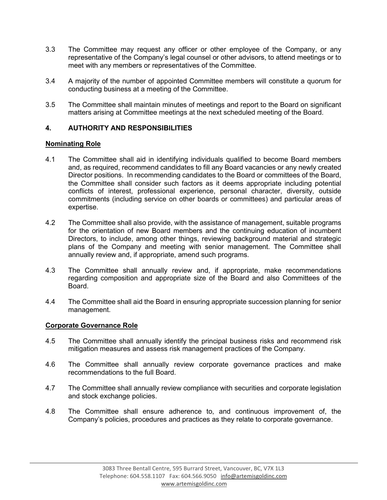- 3.3 The Committee may request any officer or other employee of the Company, or any representative of the Company's legal counsel or other advisors, to attend meetings or to meet with any members or representatives of the Committee.
- 3.4 A majority of the number of appointed Committee members will constitute a quorum for conducting business at a meeting of the Committee.
- 3.5 The Committee shall maintain minutes of meetings and report to the Board on significant matters arising at Committee meetings at the next scheduled meeting of the Board.

## **4. AUTHORITY AND RESPONSIBILITIES**

## **Nominating Role**

- 4.1 The Committee shall aid in identifying individuals qualified to become Board members and, as required, recommend candidates to fill any Board vacancies or any newly created Director positions. In recommending candidates to the Board or committees of the Board, the Committee shall consider such factors as it deems appropriate including potential conflicts of interest, professional experience, personal character, diversity, outside commitments (including service on other boards or committees) and particular areas of expertise.
- 4.2 The Committee shall also provide, with the assistance of management, suitable programs for the orientation of new Board members and the continuing education of incumbent Directors, to include, among other things, reviewing background material and strategic plans of the Company and meeting with senior management. The Committee shall annually review and, if appropriate, amend such programs.
- 4.3 The Committee shall annually review and, if appropriate, make recommendations regarding composition and appropriate size of the Board and also Committees of the Board.
- 4.4 The Committee shall aid the Board in ensuring appropriate succession planning for senior management.

## **Corporate Governance Role**

- 4.5 The Committee shall annually identify the principal business risks and recommend risk mitigation measures and assess risk management practices of the Company.
- 4.6 The Committee shall annually review corporate governance practices and make recommendations to the full Board.
- 4.7 The Committee shall annually review compliance with securities and corporate legislation and stock exchange policies.
- 4.8 The Committee shall ensure adherence to, and continuous improvement of, the Company's policies, procedures and practices as they relate to corporate governance.